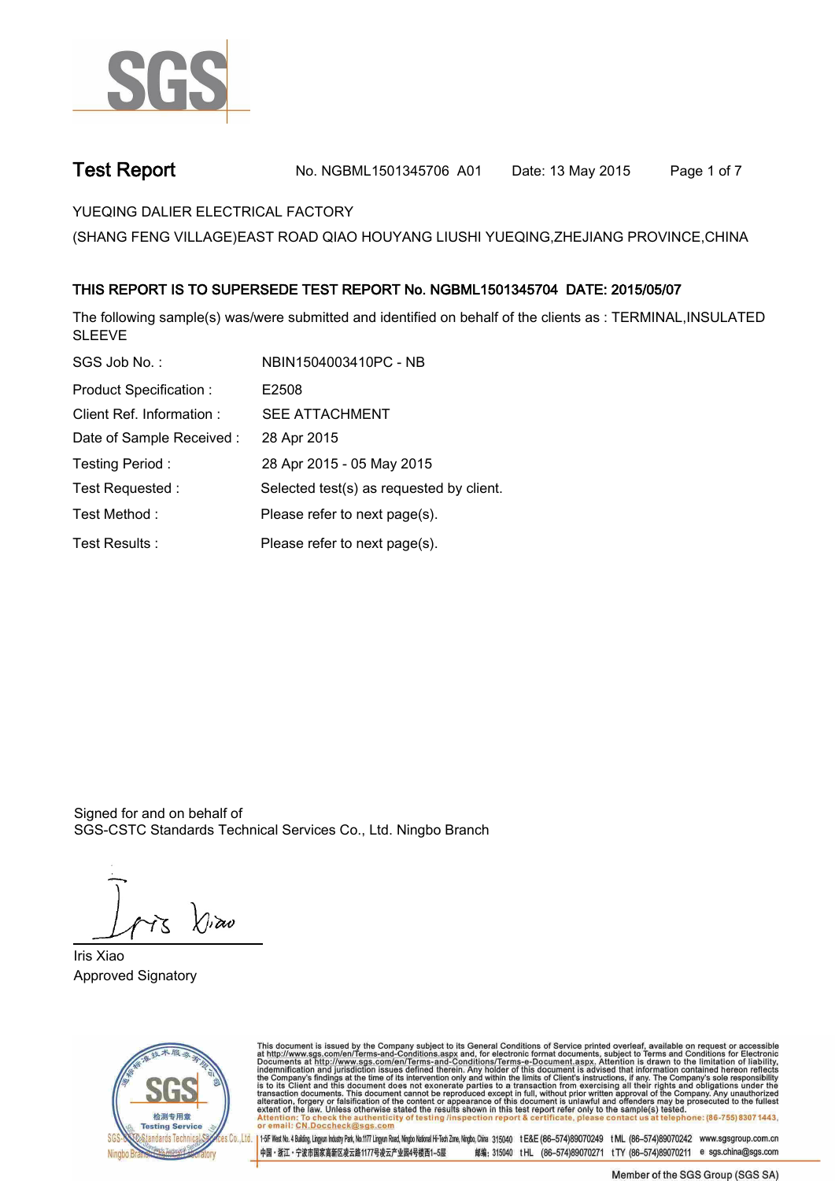

**Test Report. No. NGBML1501345706 A01 Date: 13 May 2015. Page 1 of 7.**

**YUEQING DALIER ELECTRICAL FACTORY.**

**(SHANG FENG VILLAGE)EAST ROAD QIAO HOUYANG LIUSHI YUEQING,ZHEJIANG PROVINCE,CHINA**

## **.THIS REPORT IS TO SUPERSEDE TEST REPORT No. NGBML1501345704 DATE: 2015/05/07.**

**The following sample(s) was/were submitted and identified on behalf of the clients as : TERMINAL,INSULATED SLEEVE.**

| SGS Job No.:                  | NBIN1504003410PC - NB                    |
|-------------------------------|------------------------------------------|
| <b>Product Specification:</b> | E2508                                    |
| Client Ref. Information:      | <b>SEE ATTACHMENT</b>                    |
| Date of Sample Received:      | 28 Apr 2015                              |
| Testing Period:               | 28 Apr 2015 - 05 May 2015                |
| Test Requested:               | Selected test(s) as requested by client. |
| Test Method:                  | Please refer to next page(s).            |
| Test Results :                | Please refer to next page(s).            |

Signed for and on behalf of SGS-CSTC Standards Technical Services Co., Ltd. Ningbo Branch.

 $\Lambda$ iav

**Iris Xiao. Approved Signatory.**



This document is issued by the Company subject to its General Conditions of Service printed overleaf, available on request or accessible at http://www.sgs.com/en/Terms-and-Conditions.aspx and, for electronic format docume

es Co., Ltd. | 1+5F West No. 4 Bulding, Lingun Industy Park, No.1177 Lingun Road, Ningto National Hi-Tech Zone, Ningto, China 315040 tE&E (86-574)89070249 tML (86-574)89070242 www.sgsgroup.com.cn 中国・浙江・宁波市国家高新区凌云路1177号凌云产业园4号楼西1-5层 邮编: 315040 tHL (86-574)89070271 tTY (86-574)89070211 e sgs.china@sgs.com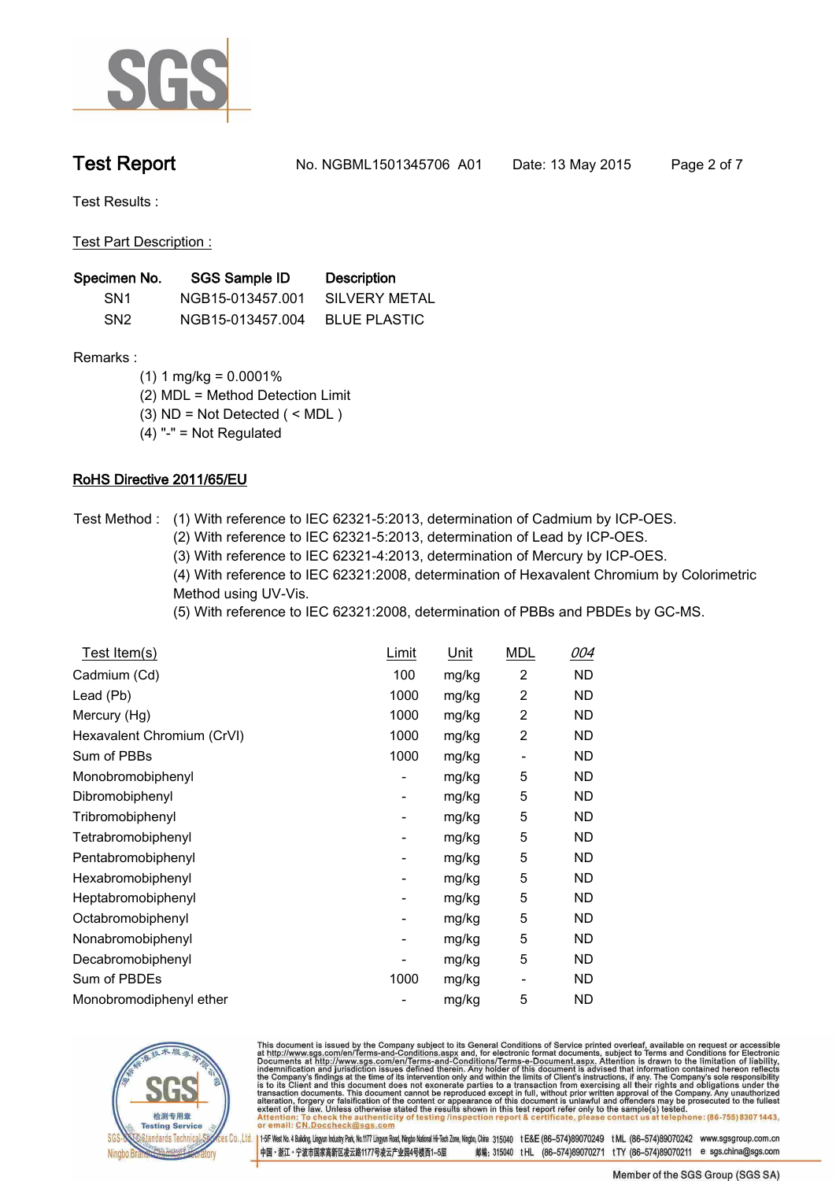

**Test Report. No. NGBML1501345706 A01 Date: 13 May 2015. Page 2 of 7.**

**Test Results :.**

**Test Part Description :.**

| Specimen No.    | <b>SGS Sample ID</b> | <b>Description</b>  |
|-----------------|----------------------|---------------------|
| SN <sub>1</sub> | NGB15-013457.001     | SILVERY METAL       |
| SN <sub>2</sub> | NGB15-013457.004     | <b>BLUE PLASTIC</b> |

### **Remarks :**

- **(1) 1 mg/kg = 0.0001%**
- **(2) MDL = Method Detection Limit**
- **(3) ND = Not Detected ( < MDL )**
- **(4) "-" = Not Regulated**

## **RoHS Directive 2011/65/EU.**

- **Test Method :. (1) With reference to IEC 62321-5:2013, determination of Cadmium by ICP-OES.** 
	- **(2) With reference to IEC 62321-5:2013, determination of Lead by ICP-OES.**
	- **(3) With reference to IEC 62321-4:2013, determination of Mercury by ICP-OES.**
	- **(4) With reference to IEC 62321:2008, determination of Hexavalent Chromium by Colorimetric Method using UV-Vis.**
	- **(5) With reference to IEC 62321:2008, determination of PBBs and PBDEs by GC-MS..**

| Test Item(s)               | Limit | Unit  | <b>MDL</b>     | 004       |
|----------------------------|-------|-------|----------------|-----------|
| Cadmium (Cd)               | 100   | mg/kg | 2              | ND        |
| Lead (Pb)                  | 1000  | mg/kg | 2              | ND.       |
| Mercury (Hg)               | 1000  | mg/kg | 2              | ND        |
| Hexavalent Chromium (CrVI) | 1000  | mg/kg | $\overline{c}$ | ND        |
| Sum of PBBs                | 1000  | mg/kg | ٠              | ND        |
| Monobromobiphenyl          | -     | mg/kg | 5              | ND        |
| Dibromobiphenyl            | -     | mg/kg | 5              | ND        |
| Tribromobiphenyl           | -     | mg/kg | 5              | ND        |
| Tetrabromobiphenyl         | ۰     | mg/kg | 5              | ND        |
| Pentabromobiphenyl         | ٠     | mg/kg | 5              | ND        |
| Hexabromobiphenyl          | ۰     | mg/kg | 5              | ND        |
| Heptabromobiphenyl         | ۰     | mg/kg | 5              | ND        |
| Octabromobiphenyl          | ۰     | mg/kg | 5              | ND        |
| Nonabromobiphenyl          | -     | mg/kg | 5              | ND        |
| Decabromobiphenyl          |       | mg/kg | 5              | ND.       |
| Sum of PBDEs               | 1000  | mg/kg | -              | ND        |
| Monobromodiphenyl ether    |       | mg/kg | 5              | <b>ND</b> |



This document is issued by the Company subject to its General Conditions of Service printed overleaf, available on request or accessible at http://www.sgs.com/en/Terms-and-Conditions.aspx and, for electronic format docume

es Co., Ltd. | 1+5F West No. 4 Bulding, Lingun Industy Park, No.1177 Lingun Road, Ningto National Hi-Tech Zone, Ningto, China 315040 tE&E (86-574)89070249 tML (86-574)89070242 www.sgsgroup.com.cn 中国・浙江・宁波市国家高新区凌云路1177号凌云产业园4号楼西1-5层 邮编: 315040 tHL (86-574)89070271 tTY (86-574)89070211 e sgs.china@sgs.com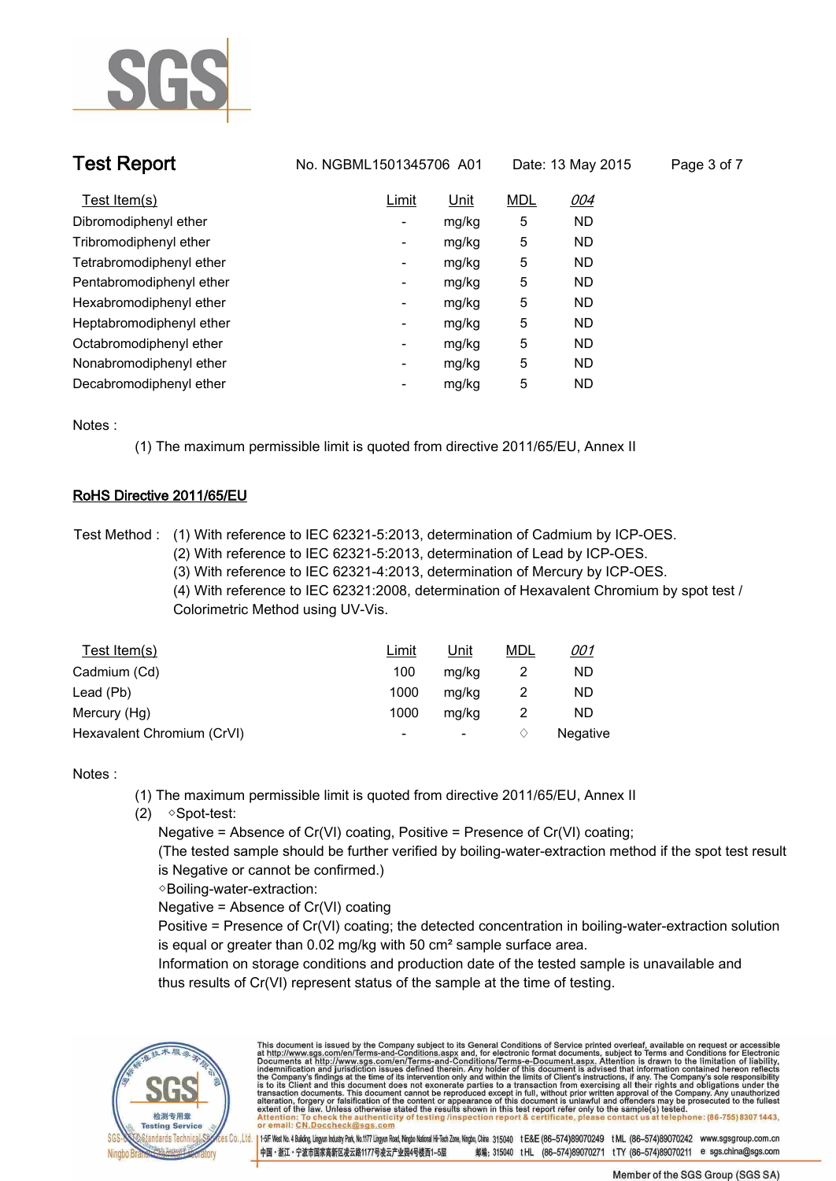

| <b>Test Report</b>       | No. NGBML1501345706 A01 |       | Date: 13 May 2015 |           | Page 3 of 7 |
|--------------------------|-------------------------|-------|-------------------|-----------|-------------|
| Test Item(s)             | Limit                   | Unit  | <b>MDL</b>        | 004       |             |
| Dibromodiphenyl ether    | ۰                       | mg/kg | 5                 | <b>ND</b> |             |
| Tribromodiphenyl ether   | -                       | mg/kg | 5                 | ND.       |             |
| Tetrabromodiphenyl ether | -                       | mg/kg | 5                 | <b>ND</b> |             |
| Pentabromodiphenyl ether | Ξ.                      | mg/kg | 5                 | <b>ND</b> |             |
| Hexabromodiphenyl ether  | ٠                       | mg/kg | 5                 | ND        |             |
| Heptabromodiphenyl ether | Ξ.                      | mg/kg | 5                 | <b>ND</b> |             |
| Octabromodiphenyl ether  | Ξ.                      | mg/kg | 5                 | ND        |             |
| Nonabromodiphenyl ether  | -                       | mg/kg | 5                 | <b>ND</b> |             |
| Decabromodiphenyl ether  | -                       | mg/kg | 5                 | <b>ND</b> |             |

**Notes :.**

**(1) The maximum permissible limit is quoted from directive 2011/65/EU, Annex II.**

### **RoHS Directive 2011/65/EU.**

**Test Method :. (1) With reference to IEC 62321-5:2013, determination of Cadmium by ICP-OES.** 

- **(2) With reference to IEC 62321-5:2013, determination of Lead by ICP-OES.**
- **(3) With reference to IEC 62321-4:2013, determination of Mercury by ICP-OES.**

**(4) With reference to IEC 62321:2008, determination of Hexavalent Chromium by spot test / Colorimetric Method using UV-Vis..**

| Test Item(s)               | <u>Limit</u>             | <u>Unit</u> | <u>MDL</u> | <u>001</u> |
|----------------------------|--------------------------|-------------|------------|------------|
| Cadmium (Cd)               | 100                      | mg/kg       |            | ND         |
| Lead (Pb)                  | 1000                     | mg/kg       |            | ND         |
| Mercury (Hg)               | 1000                     | mg/kg       |            | ND         |
| Hexavalent Chromium (CrVI) | $\overline{\phantom{a}}$ | ۰.          |            | Negative   |

### **Notes :.**

- **(1) The maximum permissible limit is quoted from directive 2011/65/EU, Annex II**
- **(2) ◇Spot-test:** 
	- **Negative = Absence of Cr(VI) coating, Positive = Presence of Cr(VI) coating;**

 **(The tested sample should be further verified by boiling-water-extraction method if the spot test result is Negative or cannot be confirmed.)**

 **◇Boiling-water-extraction:** 

 **Negative = Absence of Cr(VI) coating**

 **Positive = Presence of Cr(VI) coating; the detected concentration in boiling-water-extraction solution is equal or greater than 0.02 mg/kg with 50 cm² sample surface area.**

 **Information on storage conditions and production date of the tested sample is unavailable and thus results of Cr(VI) represent status of the sample at the time of testing..**



This document is issued by the Company subject to its General Conditions of Service printed overleaf, available on request or accessible at http://www.sgs.com/en/Terms-and-Conditions.aspx and, for electronic format docume

145F West No. 4 Bulding, Lingun Industry Park, No.1177 Lingun Road, Ningko National Hi-Tech Zone, Ningko, China 315040 tE&E (86-574)89070249 tML (86-574)89070242 www.sgsgroup.com.cn 中国・浙江・宁波市国家高新区凌云路1177号凌云产业园4号楼西1-5层 邮编: 315040 tHL (86-574)89070271 tTY (86-574)89070211 e sgs.china@sgs.com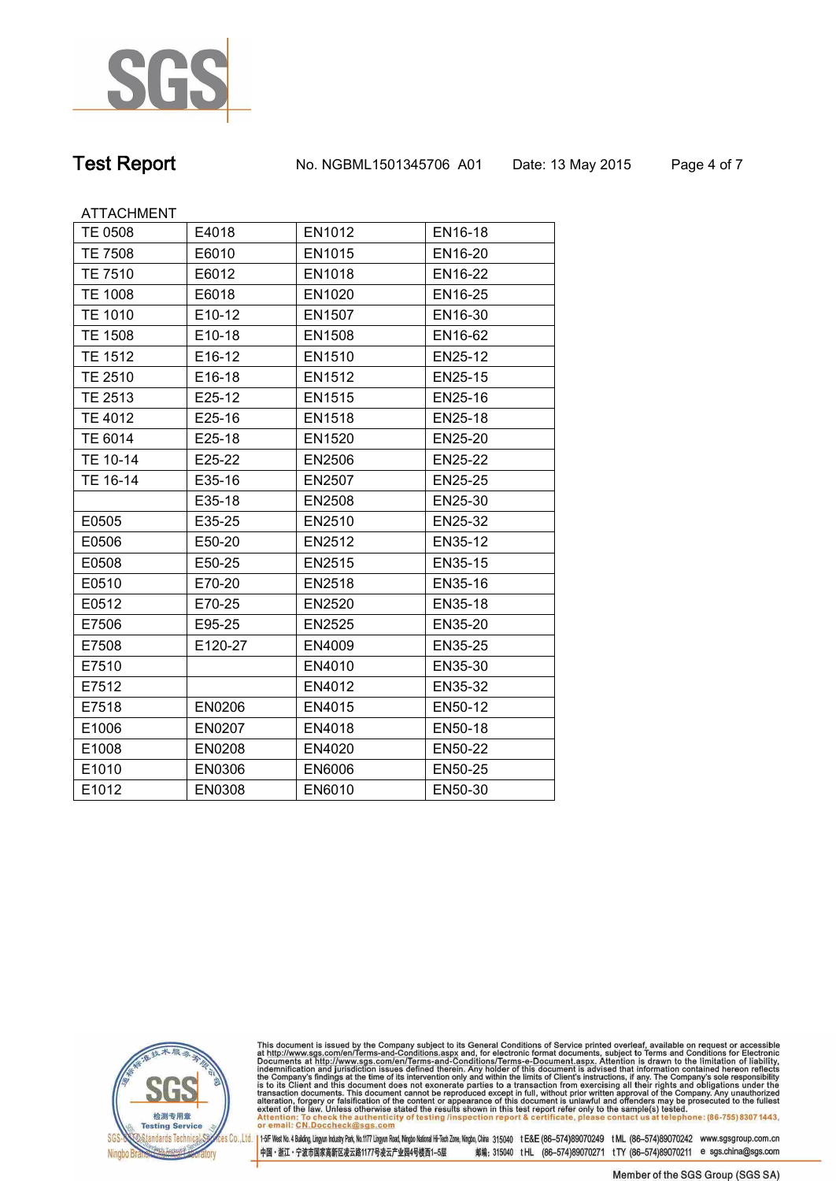

**Test Report. No. NGBML1501345706 A01 Date: 13 May 2015. Page 4 of 7.**

ATTACHMENT

| TE 0508        | E4018   | EN1012 | EN16-18        |
|----------------|---------|--------|----------------|
| <b>TE 7508</b> | E6010   | EN1015 | EN16-20        |
| <b>TE 7510</b> | E6012   | EN1018 | EN16-22        |
| <b>TE 1008</b> | E6018   | EN1020 | EN16-25        |
| <b>TE 1010</b> | E10-12  | EN1507 | EN16-30        |
| <b>TE 1508</b> | E10-18  | EN1508 | EN16-62        |
| <b>TE 1512</b> | E16-12  | EN1510 | EN25-12        |
| <b>TE 2510</b> | E16-18  | EN1512 | EN25-15        |
| TE 2513        | E25-12  | EN1515 | EN25-16        |
| TE 4012        | E25-16  | EN1518 | EN25-18        |
| TE 6014        | E25-18  | EN1520 | EN25-20        |
| TE 10-14       | E25-22  | EN2506 | <b>EN25-22</b> |
| TE 16-14       | E35-16  | EN2507 | EN25-25        |
|                | E35-18  | EN2508 | EN25-30        |
| E0505          | E35-25  | EN2510 | EN25-32        |
| E0506          | E50-20  | EN2512 | EN35-12        |
| E0508          | E50-25  | EN2515 | EN35-15        |
| E0510          | E70-20  | EN2518 | EN35-16        |
| E0512          | E70-25  | EN2520 | EN35-18        |
| E7506          | E95-25  | EN2525 | EN35-20        |
| E7508          | E120-27 | EN4009 | EN35-25        |
| E7510          |         | EN4010 | EN35-30        |
| E7512          |         | EN4012 | EN35-32        |
| E7518          | EN0206  | EN4015 | EN50-12        |
| E1006          | EN0207  | EN4018 | EN50-18        |
| E1008          | EN0208  | EN4020 | EN50-22        |
| E1010          | EN0306  | EN6006 | EN50-25        |
| E1012          | EN0308  | EN6010 | EN50-30        |



This document is issued by the Company subject to its General Conditions of Service printed overleaf, available on request or accessible at http://www.sgs.com/en/Terms-and-Conditions.aspx and, for electronic format docume

.<br><mark>28 Co., Ltd. |</mark> 1–5F West No. 4 Bulding, Lingyun Industry Park, No.1177 Lingyun Road, Ningbo National Hi-Tech Zone, Ningbo, China 315040 tE&E (86-574)89070249 tML (86-574)89070242 www.sgsgroup.com.cn 中国·浙江·宁波市国家高新区凌云路1177号凌云产业园4号楼西1-5层 邮编: 315040 tHL (86-574)89070271 tTY (86-574)89070211 e sgs.china@sgs.com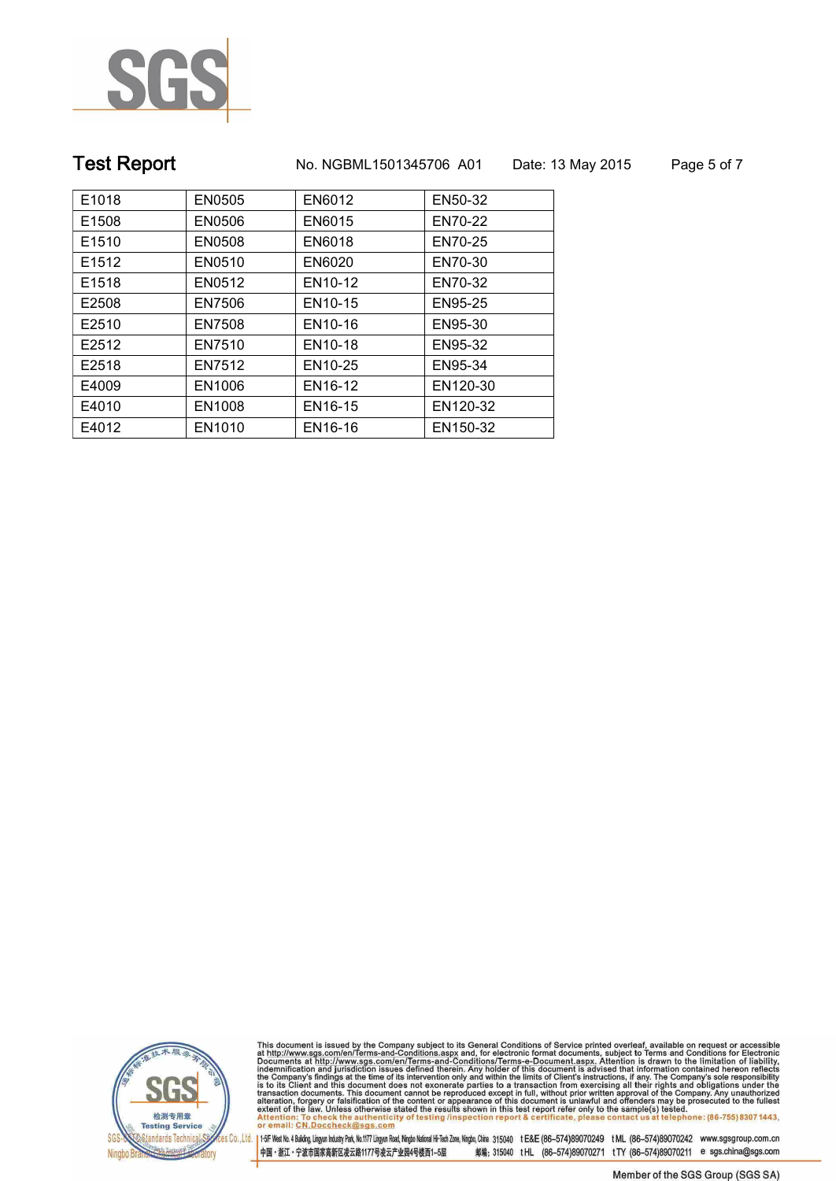

# **Test Report. No. NGBML1501345706 A01 Date: 13 May 2015. Page 5 of 7.**

| E1018<br>EN6012<br>EN0505<br>EN50-32<br>E1508<br>EN0506<br>EN6015<br>EN70-22<br>E1510<br>EN0508<br>EN6018<br>EN70-25<br>EN70-30<br>E1512<br>EN0510<br>EN6020<br>E1518<br>EN0512<br>EN10-12<br>EN70-32<br>E2508<br>EN7506<br>EN10-15<br>EN95-25<br>EN10-16<br>E2510<br>EN7508<br>EN95-30<br>EN7510<br>E2512<br>EN10-18<br>EN95-32<br>E2518<br>EN7512<br>EN10-25<br>EN95-34<br>E4009<br>EN1006<br>EN16-12<br>EN120-30<br>E4010<br>EN1008<br>EN16-15<br>EN120-32<br>E4012<br>EN1010<br>EN16-16<br>EN150-32 |  |  |
|---------------------------------------------------------------------------------------------------------------------------------------------------------------------------------------------------------------------------------------------------------------------------------------------------------------------------------------------------------------------------------------------------------------------------------------------------------------------------------------------------------|--|--|
|                                                                                                                                                                                                                                                                                                                                                                                                                                                                                                         |  |  |
|                                                                                                                                                                                                                                                                                                                                                                                                                                                                                                         |  |  |
|                                                                                                                                                                                                                                                                                                                                                                                                                                                                                                         |  |  |
|                                                                                                                                                                                                                                                                                                                                                                                                                                                                                                         |  |  |
|                                                                                                                                                                                                                                                                                                                                                                                                                                                                                                         |  |  |
|                                                                                                                                                                                                                                                                                                                                                                                                                                                                                                         |  |  |
|                                                                                                                                                                                                                                                                                                                                                                                                                                                                                                         |  |  |
|                                                                                                                                                                                                                                                                                                                                                                                                                                                                                                         |  |  |
|                                                                                                                                                                                                                                                                                                                                                                                                                                                                                                         |  |  |
|                                                                                                                                                                                                                                                                                                                                                                                                                                                                                                         |  |  |
|                                                                                                                                                                                                                                                                                                                                                                                                                                                                                                         |  |  |
|                                                                                                                                                                                                                                                                                                                                                                                                                                                                                                         |  |  |



This document is issued by the Company subject to its General Conditions of Service printed overleaf, available on request or accessible at http://www.sgs.com/en/Terms-and-Conditions.aspx and, for electronic format docume

.<br><mark>28 Co., Ltd. |</mark> 1–5F West No. 4 Bulding, Lingyun Industry Park, No.1177 Lingyun Road, Ningbo National Hi-Tech Zone, Ningbo, China 315040 tE&E (86-574)89070249 tML (86-574)89070242 www.sgsgroup.com.cn 中国・浙江・宁波市国家高新区凌云路1177号凌云产业园4号楼西1-5层 邮编: 315040 tHL (86-574)89070271 tTY (86-574)89070211 e sgs.china@sgs.com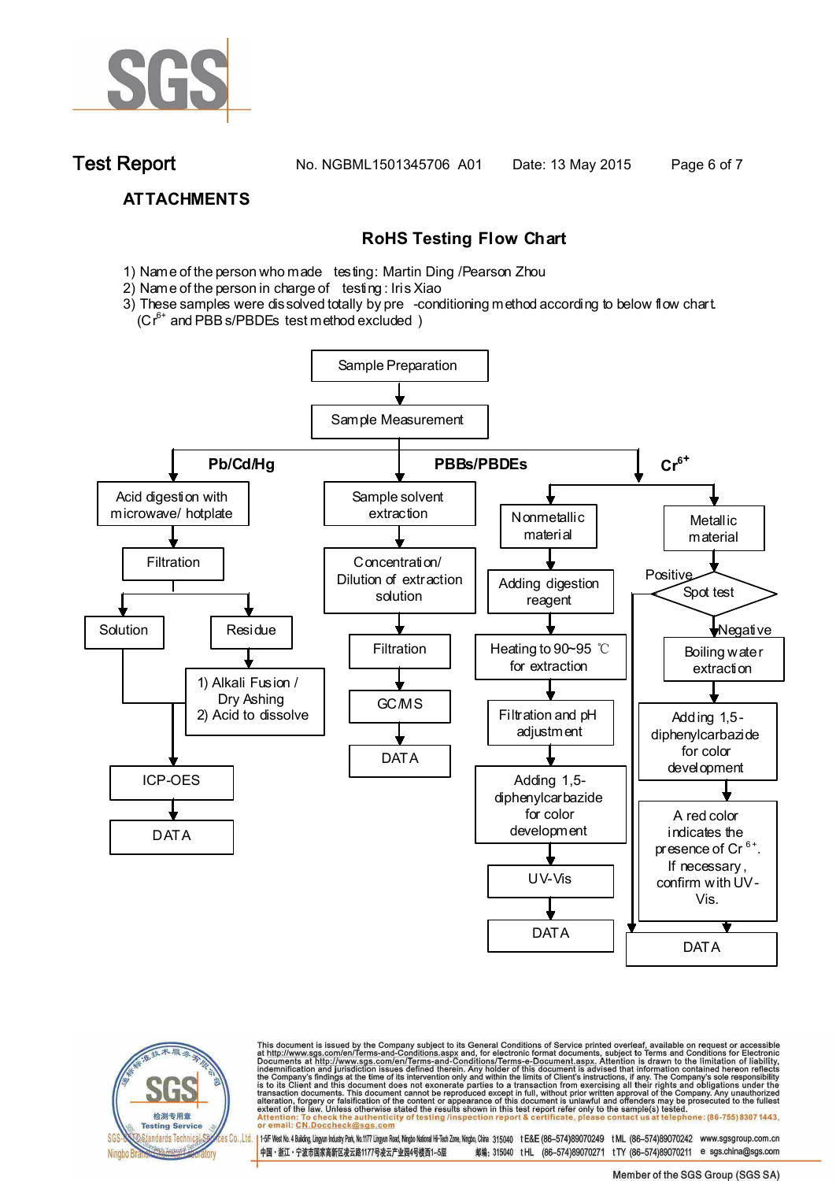

**Test Report. No. NGBML1501345706 A01 Date: 13 May 2015. Page 6 of 7.**

## **ATTACHMENTS**

## **RoHS Testing Flow Chart**

- 1) Name of the person who made testing: Martin Ding /Pearson Zhou
- 2) Name of the person in charge of testing: Iris Xiao
- 3) These samples were dissolved totally by pre -conditioning method according to below flow chart.  $(Cr^{6+}$  and PBB s/PBDEs test method excluded )





This document is issued by the Company subject to its General Conditions of Service printed overleaf, available on request or accessible at http://www.sgs.com/en/Terms-and-Conditions.aspx and, for electronic format docume

es Co.,Ltd. | 1+5F West No.4 Bulding Lingun Industy Park, No.1177 Lingun Road, Ningto National Hi-Tech Zone, Ningto, China 315040 tE&E (86-574)89070249 tML (86-574)89070242 www.sgsgroup.com.cn 中国・浙江・宁波市国家高新区凌云路1177号凌云产业园4号楼西1-5层 邮编: 315040 tHL (86-574)89070271 tTY (86-574)89070211 e sgs.china@sgs.com